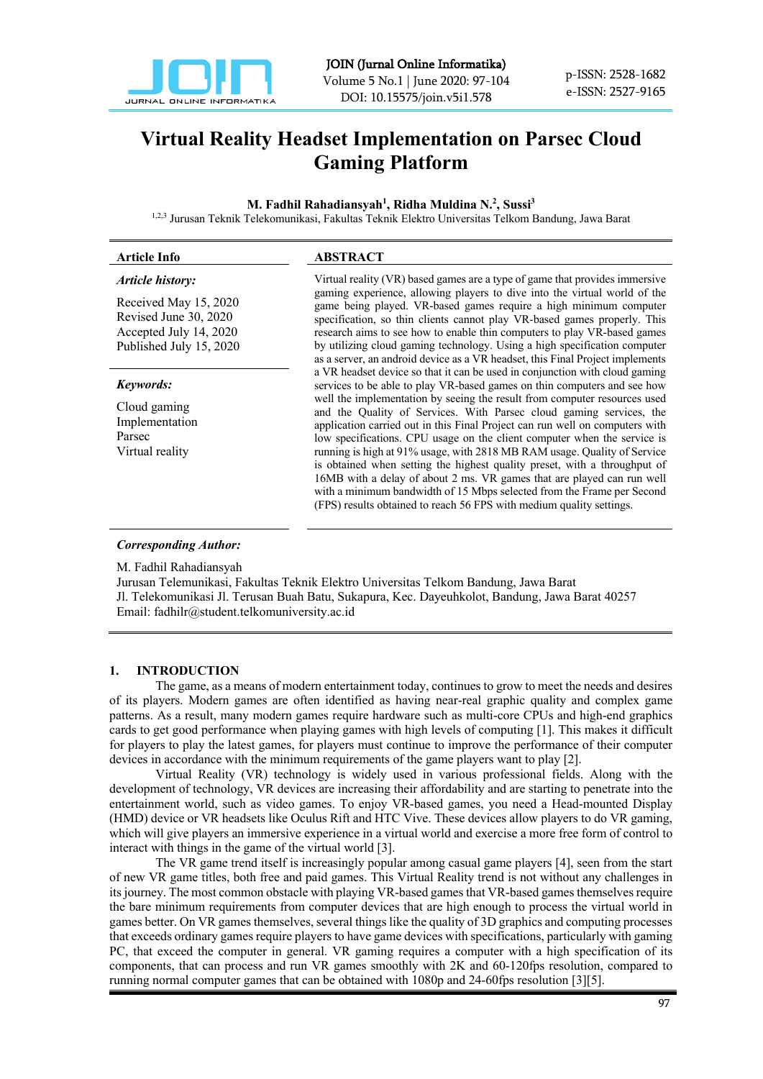

# **Virtual Reality Headset Implementation on Parsec Cloud Gaming Platform**

#### **M. Fadhil Rahadiansyah1 , Ridha Muldina N. 2 , Sussi3**

1,2,3 Jurusan Teknik Telekomunikasi, Fakultas Teknik Elektro Universitas Telkom Bandung, Jawa Barat

| <b>Article Info</b>                                                                                 | <b>ABSTRACT</b>                                                                                                                                                                                                                                                                                                                                                                                                                                                                                                                                                                                                                                                                                   |
|-----------------------------------------------------------------------------------------------------|---------------------------------------------------------------------------------------------------------------------------------------------------------------------------------------------------------------------------------------------------------------------------------------------------------------------------------------------------------------------------------------------------------------------------------------------------------------------------------------------------------------------------------------------------------------------------------------------------------------------------------------------------------------------------------------------------|
| Article history:                                                                                    | Virtual reality (VR) based games are a type of game that provides immersive                                                                                                                                                                                                                                                                                                                                                                                                                                                                                                                                                                                                                       |
| Received May 15, 2020<br>Revised June 30, 2020<br>Accepted July 14, 2020<br>Published July 15, 2020 | gaming experience, allowing players to dive into the virtual world of the<br>game being played. VR-based games require a high minimum computer<br>specification, so thin clients cannot play VR-based games properly. This<br>research aims to see how to enable thin computers to play VR-based games<br>by utilizing cloud gaming technology. Using a high specification computer<br>as a server, an android device as a VR headset, this Final Project implements                                                                                                                                                                                                                              |
| Keywords:                                                                                           | a VR headset device so that it can be used in conjunction with cloud gaming<br>services to be able to play VR-based games on thin computers and see how                                                                                                                                                                                                                                                                                                                                                                                                                                                                                                                                           |
| Cloud gaming<br>Implementation<br>Parsec<br>Virtual reality                                         | well the implementation by seeing the result from computer resources used<br>and the Quality of Services. With Parsec cloud gaming services, the<br>application carried out in this Final Project can run well on computers with<br>low specifications. CPU usage on the client computer when the service is<br>running is high at 91% usage, with 2818 MB RAM usage. Quality of Service<br>is obtained when setting the highest quality preset, with a throughput of<br>16MB with a delay of about 2 ms. VR games that are played can run well<br>with a minimum bandwidth of 15 Mbps selected from the Frame per Second<br>(FPS) results obtained to reach 56 FPS with medium quality settings. |

## *Corresponding Author:*

M. Fadhil Rahadiansyah

Jurusan Telemunikasi, Fakultas Teknik Elektro Universitas Telkom Bandung, Jawa Barat Jl. Telekomunikasi Jl. Terusan Buah Batu, Sukapura, Kec. Dayeuhkolot, Bandung, Jawa Barat 40257 Email: fadhilr@student.telkomuniversity.ac.id

## **1. INTRODUCTION**

The game, as a means of modern entertainment today, continues to grow to meet the needs and desires of its players. Modern games are often identified as having near-real graphic quality and complex game patterns. As a result, many modern games require hardware such as multi-core CPUs and high-end graphics cards to get good performance when playing games with high levels of computing [1]. This makes it difficult for players to play the latest games, for players must continue to improve the performance of their computer devices in accordance with the minimum requirements of the game players want to play [2].

Virtual Reality (VR) technology is widely used in various professional fields. Along with the development of technology, VR devices are increasing their affordability and are starting to penetrate into the entertainment world, such as video games. To enjoy VR-based games, you need a Head-mounted Display (HMD) device or VR headsets like Oculus Rift and HTC Vive. These devices allow players to do VR gaming, which will give players an immersive experience in a virtual world and exercise a more free form of control to interact with things in the game of the virtual world [3].

The VR game trend itself is increasingly popular among casual game players [4], seen from the start of new VR game titles, both free and paid games. This Virtual Reality trend is not without any challenges in its journey. The most common obstacle with playing VR-based games that VR-based games themselves require the bare minimum requirements from computer devices that are high enough to process the virtual world in games better. On VR games themselves, several things like the quality of 3D graphics and computing processes that exceeds ordinary games require players to have game devices with specifications, particularly with gaming PC, that exceed the computer in general. VR gaming requires a computer with a high specification of its components, that can process and run VR games smoothly with 2K and 60-120fps resolution, compared to running normal computer games that can be obtained with 1080p and 24-60fps resolution [3][5].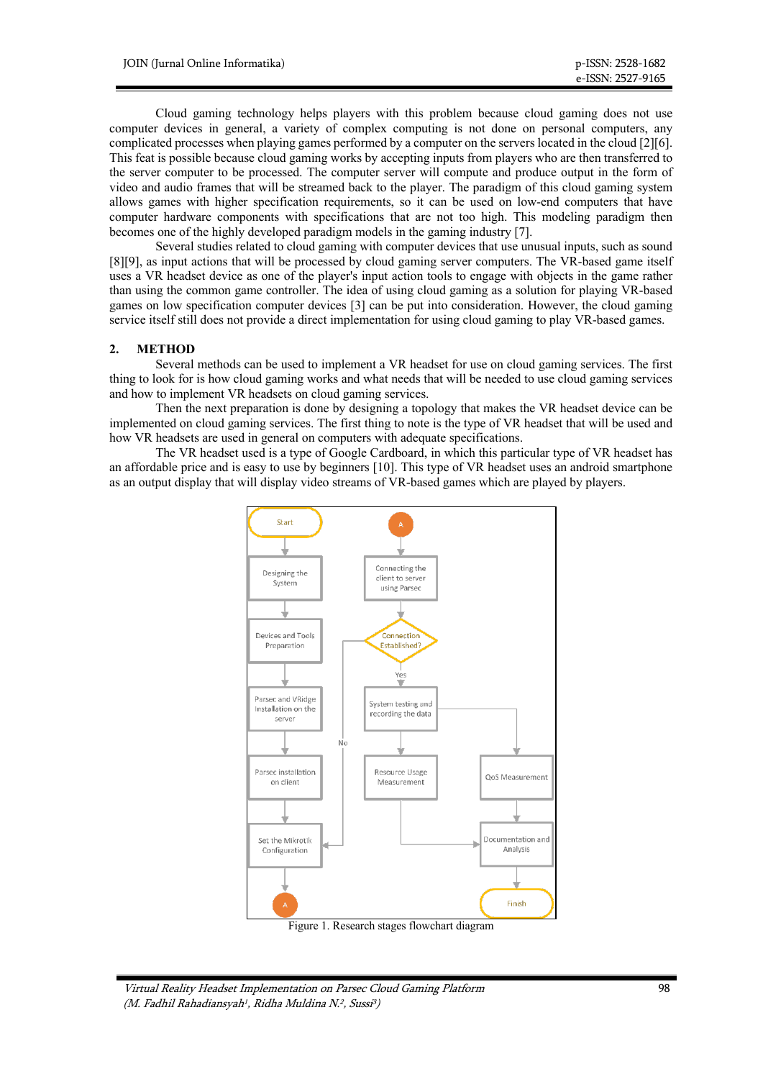Cloud gaming technology helps players with this problem because cloud gaming does not use computer devices in general, a variety of complex computing is not done on personal computers, any complicated processes when playing games performed by a computer on the servers located in the cloud [2][6]. This feat is possible because cloud gaming works by accepting inputs from players who are then transferred to the server computer to be processed. The computer server will compute and produce output in the form of video and audio frames that will be streamed back to the player. The paradigm of this cloud gaming system allows games with higher specification requirements, so it can be used on low-end computers that have computer hardware components with specifications that are not too high. This modeling paradigm then becomes one of the highly developed paradigm models in the gaming industry [7].

Several studies related to cloud gaming with computer devices that use unusual inputs, such as sound [8][9], as input actions that will be processed by cloud gaming server computers. The VR-based game itself uses a VR headset device as one of the player's input action tools to engage with objects in the game rather than using the common game controller. The idea of using cloud gaming as a solution for playing VR-based games on low specification computer devices [3] can be put into consideration. However, the cloud gaming service itself still does not provide a direct implementation for using cloud gaming to play VR-based games.

## **2. METHOD**

Several methods can be used to implement a VR headset for use on cloud gaming services. The first thing to look for is how cloud gaming works and what needs that will be needed to use cloud gaming services and how to implement VR headsets on cloud gaming services.

Then the next preparation is done by designing a topology that makes the VR headset device can be implemented on cloud gaming services. The first thing to note is the type of VR headset that will be used and how VR headsets are used in general on computers with adequate specifications.

The VR headset used is a type of Google Cardboard, in which this particular type of VR headset has an affordable price and is easy to use by beginners [10]. This type of VR headset uses an android smartphone as an output display that will display video streams of VR-based games which are played by players.



Figure 1. Research stages flowchart diagram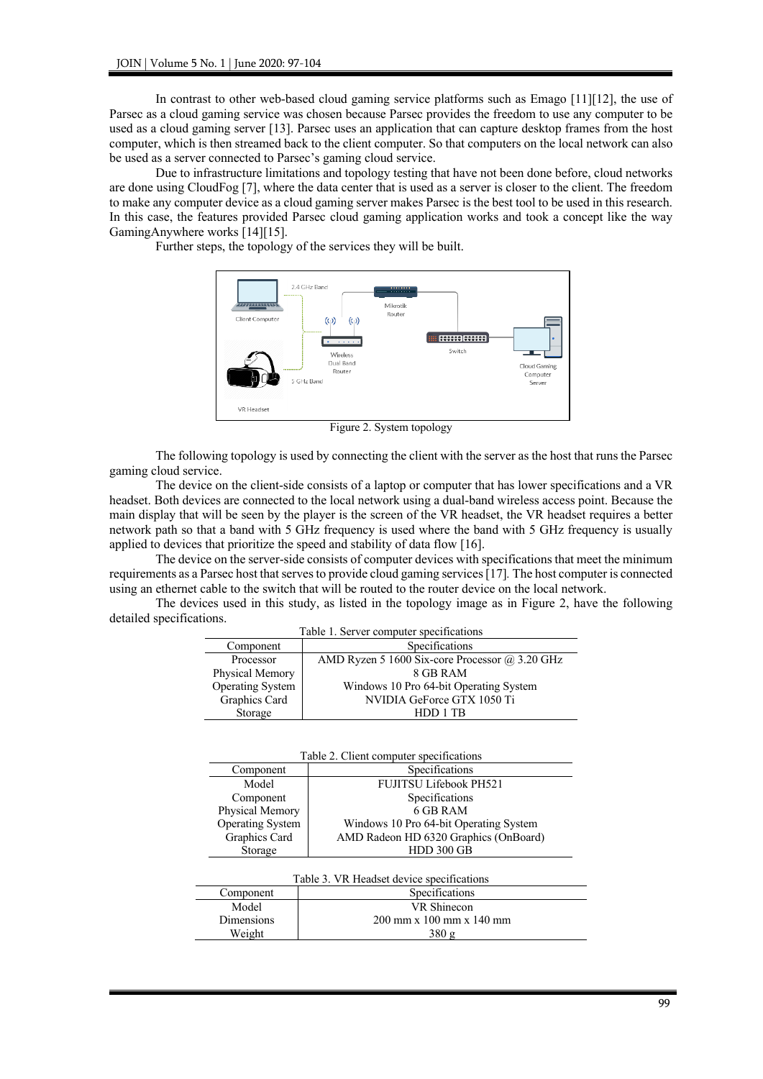In contrast to other web-based cloud gaming service platforms such as Emago [11][12], the use of Parsec as a cloud gaming service was chosen because Parsec provides the freedom to use any computer to be used as a cloud gaming server [13]. Parsec uses an application that can capture desktop frames from the host computer, which is then streamed back to the client computer. So that computers on the local network can also be used as a server connected to Parsec's gaming cloud service.

Due to infrastructure limitations and topology testing that have not been done before, cloud networks are done using CloudFog [7], where the data center that is used as a server is closer to the client. The freedom to make any computer device as a cloud gaming server makes Parsec is the best tool to be used in this research. In this case, the features provided Parsec cloud gaming application works and took a concept like the way GamingAnywhere works [14][15].

Further steps, the topology of the services they will be built.



Figure 2. System topology

The following topology is used by connecting the client with the server as the host that runs the Parsec gaming cloud service.

The device on the client-side consists of a laptop or computer that has lower specifications and a VR headset. Both devices are connected to the local network using a dual-band wireless access point. Because the main display that will be seen by the player is the screen of the VR headset, the VR headset requires a better network path so that a band with 5 GHz frequency is used where the band with 5 GHz frequency is usually applied to devices that prioritize the speed and stability of data flow [16].

The device on the server-side consists of computer devices with specifications that meet the minimum requirements as a Parsec host that serves to provide cloud gaming services[17]*.* The host computer is connected using an ethernet cable to the switch that will be routed to the router device on the local network.

The devices used in this study, as listed in the topology image as in Figure 2, have the following detailed specifications.

| Table 1. Server computer specifications |                                                    |  |
|-----------------------------------------|----------------------------------------------------|--|
| Component                               | Specifications                                     |  |
| Processor                               | AMD Ryzen 5 1600 Six-core Processor $(a)$ 3.20 GHz |  |
| Physical Memory                         | 8 GB RAM                                           |  |
| Operating System                        | Windows 10 Pro 64-bit Operating System             |  |
| Graphics Card                           | NVIDIA GeForce GTX 1050 Ti                         |  |
| Storage                                 | HDD 1 TR                                           |  |

| Table 2. Client computer specifications   |                                        |  |  |
|-------------------------------------------|----------------------------------------|--|--|
| Component                                 | Specifications                         |  |  |
| Model                                     | <b>FUJITSU Lifebook PH521</b>          |  |  |
| Component                                 | Specifications                         |  |  |
| Physical Memory                           | 6 GB RAM                               |  |  |
| <b>Operating System</b>                   | Windows 10 Pro 64-bit Operating System |  |  |
| Graphics Card                             | AMD Radeon HD 6320 Graphics (OnBoard)  |  |  |
| Storage                                   | <b>HDD 300 GB</b>                      |  |  |
|                                           |                                        |  |  |
| Table 3. VR Headset device specifications |                                        |  |  |
| Component                                 | Specifications                         |  |  |

Model VR Shinecon Dimensions 200 mm x 100 mm x 140 mm

Weight 380 g

99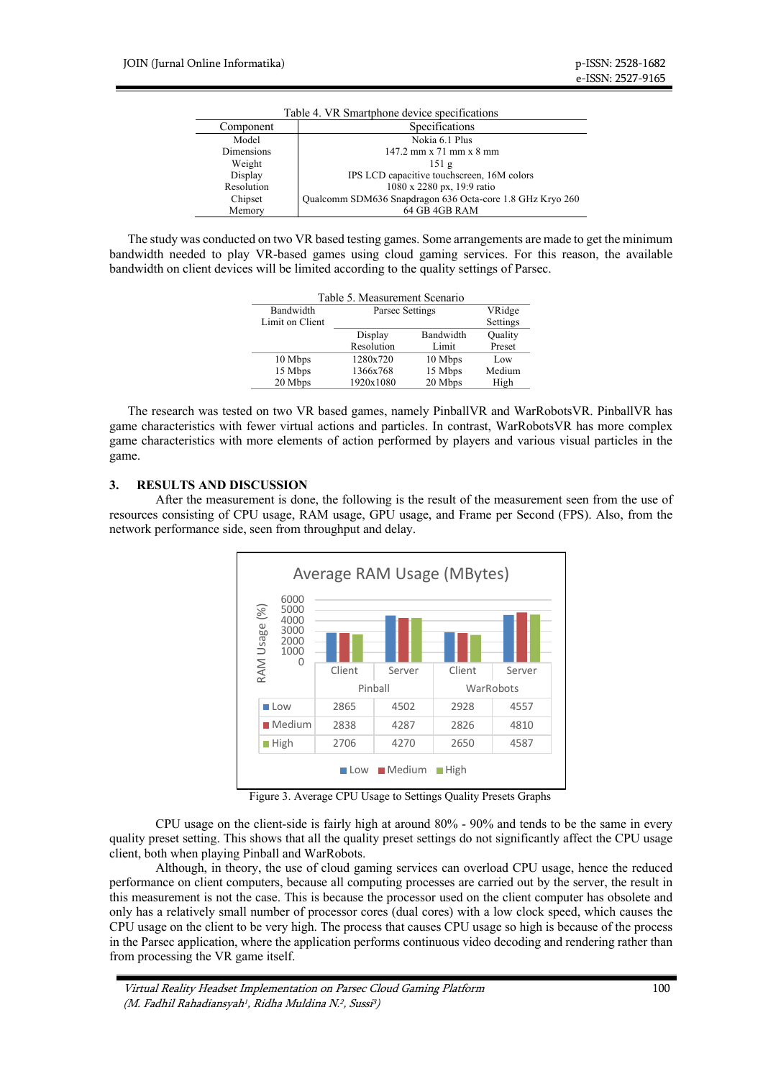| Table 4. VR Smartphone device specifications |                                                           |  |
|----------------------------------------------|-----------------------------------------------------------|--|
| Component                                    | Specifications                                            |  |
| Model                                        | Nokia 6.1 Plus                                            |  |
| <b>Dimensions</b>                            | $147.2$ mm x $71$ mm x $8$ mm                             |  |
| Weight                                       | 151g                                                      |  |
| Display                                      | IPS LCD capacitive touchscreen, 16M colors                |  |
| Resolution                                   | 1080 x 2280 px, 19:9 ratio                                |  |
| Chipset                                      | Qualcomm SDM636 Snapdragon 636 Octa-core 1.8 GHz Kryo 260 |  |
| Memory                                       | 64 GB 4GB RAM                                             |  |

The study was conducted on two VR based testing games. Some arrangements are made to get the minimum bandwidth needed to play VR-based games using cloud gaming services. For this reason, the available bandwidth on client devices will be limited according to the quality settings of Parsec.

| Table 5. Measurement Scenario |                 |           |          |  |
|-------------------------------|-----------------|-----------|----------|--|
| Bandwidth                     | Parsec Settings |           | VRidge   |  |
| Limit on Client               |                 |           | Settings |  |
|                               | Display         | Bandwidth | Quality  |  |
|                               | Resolution      | Limit     | Preset   |  |
| 10 Mbps                       | 1280x720        | 10 Mbps   | Low      |  |
| 15 Mbps                       | 1366x768        | 15 Mbps   | Medium   |  |
| 20 Mbps                       | 1920x1080       | 20 Mbps   | High     |  |

The research was tested on two VR based games, namely PinballVR and WarRobotsVR. PinballVR has game characteristics with fewer virtual actions and particles. In contrast, WarRobotsVR has more complex game characteristics with more elements of action performed by players and various visual particles in the game.

## **3. RESULTS AND DISCUSSION**

After the measurement is done, the following is the result of the measurement seen from the use of resources consisting of CPU usage, RAM usage, GPU usage, and Frame per Second (FPS). Also, from the network performance side, seen from throughput and delay.



Figure 3. Average CPU Usage to Settings Quality Presets Graphs

CPU usage on the client-side is fairly high at around 80% - 90% and tends to be the same in every quality preset setting. This shows that all the quality preset settings do not significantly affect the CPU usage client, both when playing Pinball and WarRobots.

Although, in theory, the use of cloud gaming services can overload CPU usage, hence the reduced performance on client computers, because all computing processes are carried out by the server, the result in this measurement is not the case. This is because the processor used on the client computer has obsolete and only has a relatively small number of processor cores (dual cores) with a low clock speed, which causes the CPU usage on the client to be very high. The process that causes CPU usage so high is because of the process in the Parsec application, where the application performs continuous video decoding and rendering rather than from processing the VR game itself.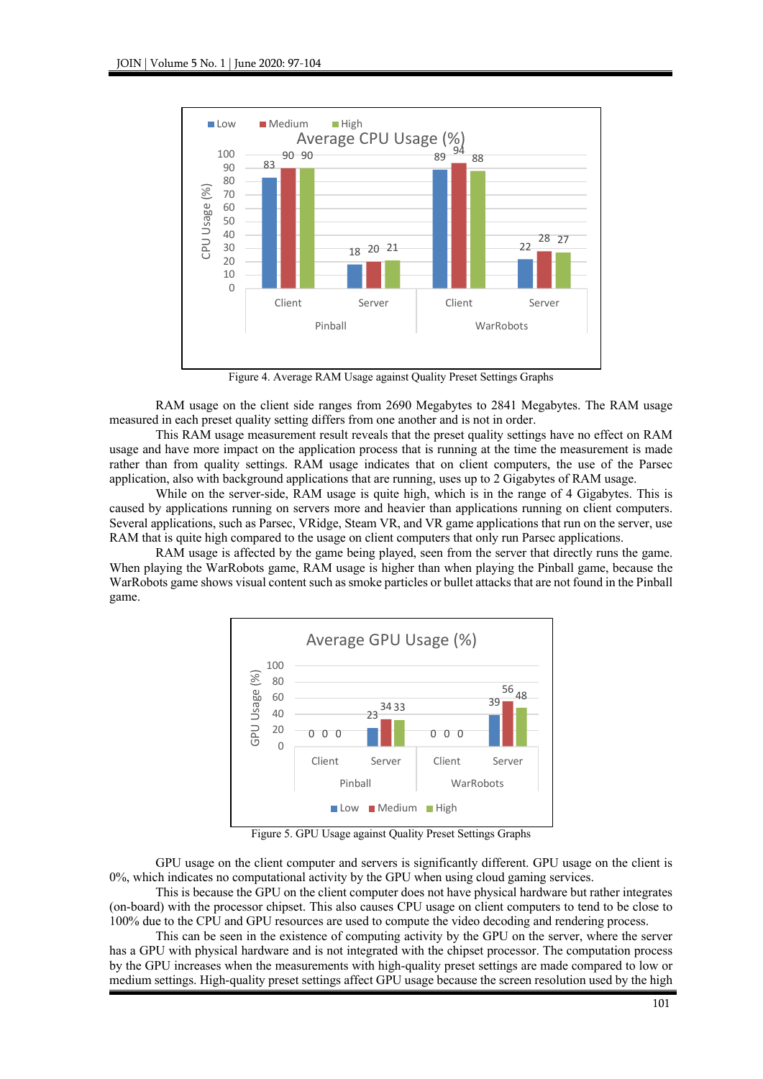

Figure 4. Average RAM Usage against Quality Preset Settings Graphs

RAM usage on the client side ranges from 2690 Megabytes to 2841 Megabytes. The RAM usage measured in each preset quality setting differs from one another and is not in order.

This RAM usage measurement result reveals that the preset quality settings have no effect on RAM usage and have more impact on the application process that is running at the time the measurement is made rather than from quality settings. RAM usage indicates that on client computers, the use of the Parsec application, also with background applications that are running, uses up to 2 Gigabytes of RAM usage.

While on the server-side, RAM usage is quite high, which is in the range of 4 Gigabytes. This is caused by applications running on servers more and heavier than applications running on client computers. Several applications, such as Parsec, VRidge, Steam VR, and VR game applications that run on the server, use RAM that is quite high compared to the usage on client computers that only run Parsec applications.

RAM usage is affected by the game being played, seen from the server that directly runs the game. When playing the WarRobots game, RAM usage is higher than when playing the Pinball game, because the WarRobots game shows visual content such as smoke particles or bullet attacks that are not found in the Pinball game.



Figure 5. GPU Usage against Quality Preset Settings Graphs

GPU usage on the client computer and servers is significantly different. GPU usage on the client is 0%, which indicates no computational activity by the GPU when using cloud gaming services.

This is because the GPU on the client computer does not have physical hardware but rather integrates (on-board) with the processor chipset. This also causes CPU usage on client computers to tend to be close to 100% due to the CPU and GPU resources are used to compute the video decoding and rendering process.

This can be seen in the existence of computing activity by the GPU on the server, where the server has a GPU with physical hardware and is not integrated with the chipset processor. The computation process by the GPU increases when the measurements with high-quality preset settings are made compared to low or medium settings. High-quality preset settings affect GPU usage because the screen resolution used by the high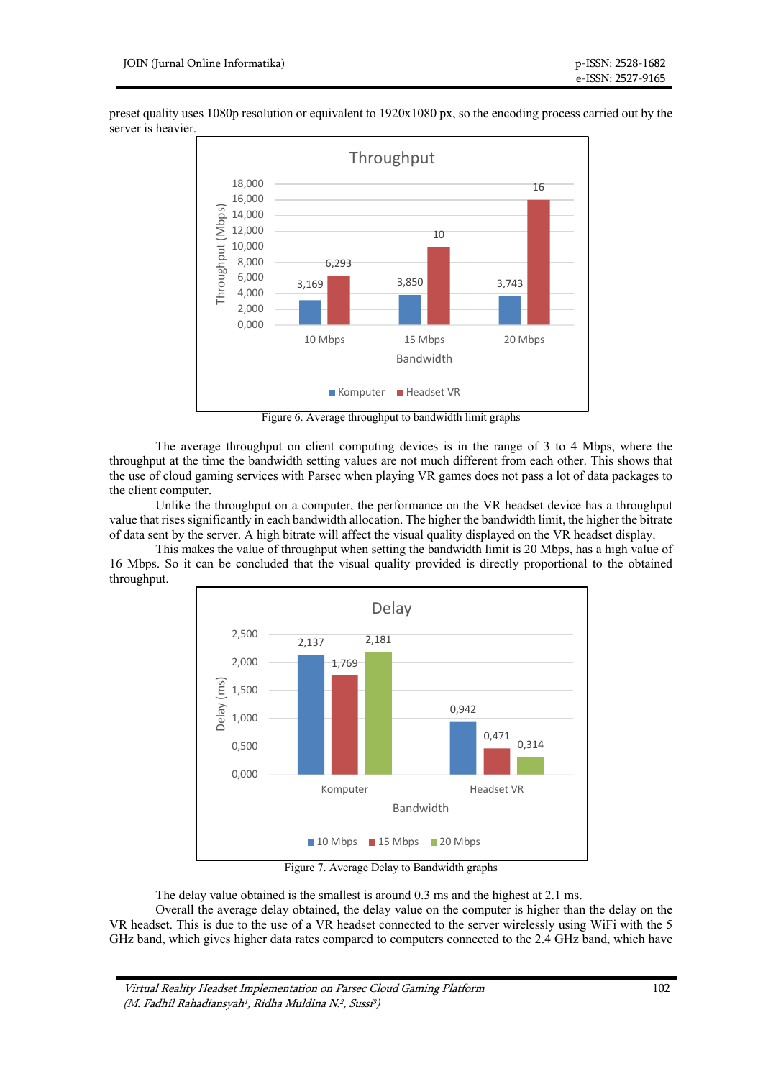

preset quality uses 1080p resolution or equivalent to 1920x1080 px, so the encoding process carried out by the server is heavier.

Figure 6. Average throughput to bandwidth limit graphs

The average throughput on client computing devices is in the range of 3 to 4 Mbps, where the throughput at the time the bandwidth setting values are not much different from each other. This shows that the use of cloud gaming services with Parsec when playing VR games does not pass a lot of data packages to the client computer.

Unlike the throughput on a computer, the performance on the VR headset device has a throughput value that rises significantly in each bandwidth allocation. The higher the bandwidth limit, the higher the bitrate of data sent by the server. A high bitrate will affect the visual quality displayed on the VR headset display.

This makes the value of throughput when setting the bandwidth limit is 20 Mbps, has a high value of 16 Mbps. So it can be concluded that the visual quality provided is directly proportional to the obtained throughput.



Figure 7. Average Delay to Bandwidth graphs

The delay value obtained is the smallest is around 0.3 ms and the highest at 2.1 ms. Overall the average delay obtained, the delay value on the computer is higher than the delay on the VR headset. This is due to the use of a VR headset connected to the server wirelessly using WiFi with the 5 GHz band, which gives higher data rates compared to computers connected to the 2.4 GHz band, which have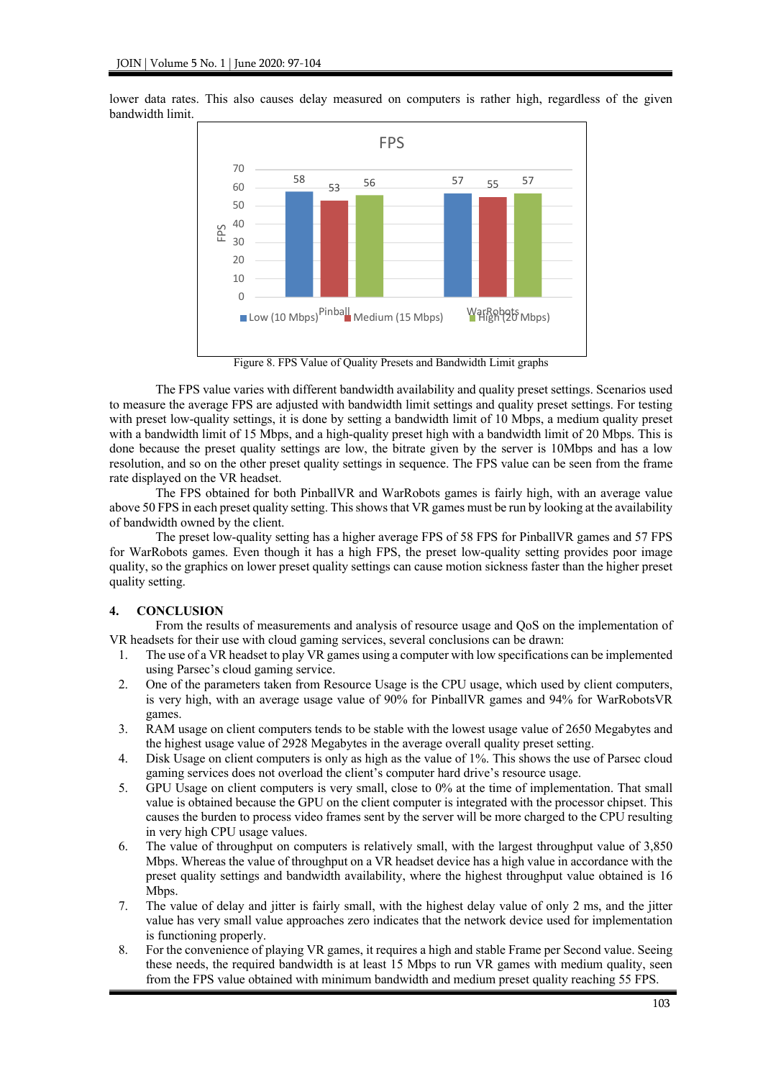

lower data rates. This also causes delay measured on computers is rather high, regardless of the given bandwidth limit.

Figure 8. FPS Value of Quality Presets and Bandwidth Limit graphs

The FPS value varies with different bandwidth availability and quality preset settings. Scenarios used to measure the average FPS are adjusted with bandwidth limit settings and quality preset settings. For testing with preset low-quality settings, it is done by setting a bandwidth limit of 10 Mbps, a medium quality preset with a bandwidth limit of 15 Mbps, and a high-quality preset high with a bandwidth limit of 20 Mbps. This is done because the preset quality settings are low, the bitrate given by the server is 10Mbps and has a low resolution, and so on the other preset quality settings in sequence. The FPS value can be seen from the frame rate displayed on the VR headset.

The FPS obtained for both PinballVR and WarRobots games is fairly high, with an average value above 50 FPS in each preset quality setting. This shows that VR games must be run by looking at the availability of bandwidth owned by the client.

The preset low-quality setting has a higher average FPS of 58 FPS for PinballVR games and 57 FPS for WarRobots games. Even though it has a high FPS, the preset low-quality setting provides poor image quality, so the graphics on lower preset quality settings can cause motion sickness faster than the higher preset quality setting.

## **4. CONCLUSION**

From the results of measurements and analysis of resource usage and QoS on the implementation of VR headsets for their use with cloud gaming services, several conclusions can be drawn:

- 1. The use of a VR headset to play VR games using a computer with low specifications can be implemented using Parsec's cloud gaming service.
- 2. One of the parameters taken from Resource Usage is the CPU usage, which used by client computers, is very high, with an average usage value of 90% for PinballVR games and 94% for WarRobotsVR games.
- 3. RAM usage on client computers tends to be stable with the lowest usage value of 2650 Megabytes and the highest usage value of 2928 Megabytes in the average overall quality preset setting.
- 4. Disk Usage on client computers is only as high as the value of 1%. This shows the use of Parsec cloud gaming services does not overload the client's computer hard drive's resource usage.
- 5. GPU Usage on client computers is very small, close to 0% at the time of implementation. That small value is obtained because the GPU on the client computer is integrated with the processor chipset. This causes the burden to process video frames sent by the server will be more charged to the CPU resulting in very high CPU usage values.
- 6. The value of throughput on computers is relatively small, with the largest throughput value of 3,850 Mbps. Whereas the value of throughput on a VR headset device has a high value in accordance with the preset quality settings and bandwidth availability, where the highest throughput value obtained is 16 Mbps.
- 7. The value of delay and jitter is fairly small, with the highest delay value of only 2 ms, and the jitter value has very small value approaches zero indicates that the network device used for implementation is functioning properly.
- 8. For the convenience of playing VR games, it requires a high and stable Frame per Second value. Seeing these needs, the required bandwidth is at least 15 Mbps to run VR games with medium quality, seen from the FPS value obtained with minimum bandwidth and medium preset quality reaching 55 FPS.